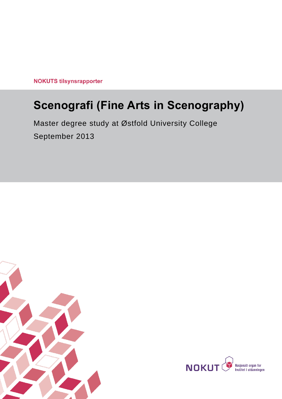**NOKUTS tilsynsrapporter** 

# **Scenografi (Fine Arts in Scenography)**

Master degree study at Østfold University College September 2013



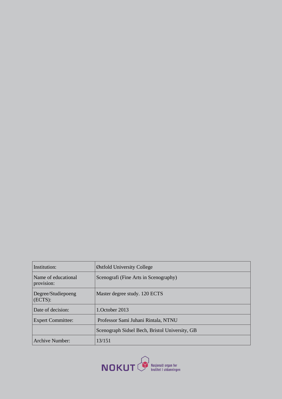| Institution:                      | Østfold University College                     |
|-----------------------------------|------------------------------------------------|
| Name of educational<br>provision: | Scenografi (Fine Arts in Scenography)          |
| Degree/Studiepoeng<br>(ECTS):     | Master degree study. 120 ECTS                  |
| Date of decision:                 | 1. October 2013                                |
| <b>Expert Committee:</b>          | Professor Sami Juhani Rintala, NTNU            |
|                                   | Scenograph Sidsel Bech, Bristol University, GB |
| Archive Number:                   | 13/151                                         |

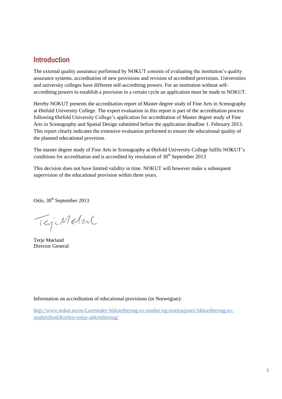# **Introduction**

The external quality assurance performed by NOKUT consists of evaluating the institution's quality assurance systems, accreditation of new provisions and revision of accredited provisions. Universities and university colleges have different self-accrediting powers. For an institution without selfaccrediting powers to establish a provision in a certain cycle an application must be made to NOKUT.

Hereby NOKUT presents the accreditation report of Master degree study of Fine Arts in Scenography at Østfold University College. The expert evaluation in this report is part of the accreditation process following Østfold University College's application for accreditation of Master degree study of Fine Arts in Scenography and Spatial Design submitted before the application deadline 1. February 2013. This report clearly indicates the extensive evaluation performed to ensure the educational quality of the planned educational provision.

The master degree study of Fine Arts in Scenography at Østfold University College fulfils NOKUT's conditions for accreditation and is accredited by resolution of  $30<sup>th</sup>$  September 2013

This decision does not have limited validity in time. NOKUT will however make a subsequent supervision of the educational provision within three years.

Oslo, 30<sup>th</sup> September 2013

TejiMeter

Terje Mørland Director General

Information on accreditation of educational provisions (in Norwegian):

[http://www.nokut.no/no/Laresteder/Akkreditering-av-studier-og-institusjoner/Akkreditering-av](http://www.nokut.no/no/Laresteder/Akkreditering-av-studier-og-institusjoner/Akkreditering-av-studietilbod/Korleis-sokje-akkreditering/)[studietilbod/Korleis-sokje-akkreditering/](http://www.nokut.no/no/Laresteder/Akkreditering-av-studier-og-institusjoner/Akkreditering-av-studietilbod/Korleis-sokje-akkreditering/)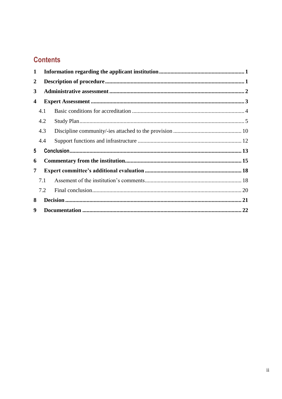# **Contents**

| 1                |     |  |  |  |
|------------------|-----|--|--|--|
| $\boldsymbol{2}$ |     |  |  |  |
| 3                |     |  |  |  |
| 4                |     |  |  |  |
|                  | 4.1 |  |  |  |
|                  | 4.2 |  |  |  |
|                  | 4.3 |  |  |  |
|                  | 4.4 |  |  |  |
| 5                |     |  |  |  |
| 6                |     |  |  |  |
| 7                |     |  |  |  |
|                  | 7.1 |  |  |  |
|                  | 7.2 |  |  |  |
| 8                |     |  |  |  |
| 9                |     |  |  |  |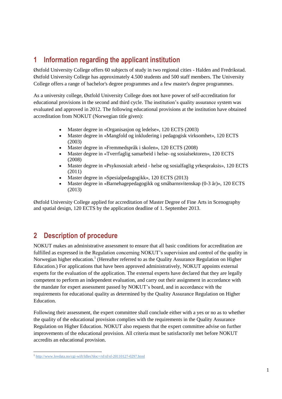# <span id="page-4-0"></span>**1 Information regarding the applicant institution**

Østfold University College offers 60 subjects of study in two regional cities - Halden and Fredrikstad. Østfold University College has approximately 4.500 students and 500 staff members. The University College offers a range of bachelor's degree programmes and a few master's degree programmes.

As a university college, Østfold University College does not have power of self-accreditation for educational provisions in the second and third cycle. The institution's quality assurance system was evaluated and approved in 2012. The following educational provisions at the institution have obtained accreditation from NOKUT (Norwegian title given):

- Master degree in «Organisasjon og ledelse», 120 ECTS (2003)
- Master degree in «Mangfold og inkludering i pedagogisk virksomhet», 120 ECTS (2003)
- Master degree in «Fremmedspråk i skolen», 120 ECTS (2008)
- Master degree in «Tverrfaglig samarbeid i helse- og sosialsektoren», 120 ECTS (2008)
- Master degree in «Psykososialt arbeid helse og sosialfaglig yrkespraksis», 120 ECTS (2011)
- Master degree in «Spesialpedagogikk», 120 ECTS (2013)
- Master degree in «Barnehagepedagogikk og småbarnsvitenskap (0-3 år)», 120 ECTS (2013)

Østfold University College applied for accreditation of Master Degree of Fine Arts in Scenography and spatial design, 120 ECTS by the application deadline of 1. September 2013.

# <span id="page-4-1"></span>**2 Description of procedure**

NOKUT makes an administrative assessment to ensure that all basic conditions for accreditation are fulfilled as expressed in the Regulation concerning NOKUT's supervision and control of the quality in Norwegian higher education.<sup>1</sup> (Hereafter referred to as the Quality Assurance Regulation on Higher Education.) For applications that have been approved administratively, NOKUT appoints external experts for the evaluation of the application. The external experts have declared that they are legally competent to perform an independent evaluation, and carry out their assignment in accordance with the mandate for expert assessment passed by NOKUT's board, and in accordance with the requirements for educational quality as determined by the Quality Assurance Regulation on Higher Education.

Following their assessment, the expert committee shall conclude either with a yes or no as to whether the quality of the educational provision complies with the requirements in the Quality Assurance Regulation on Higher Education. NOKUT also requests that the expert committee advise on further improvements of the educational provision. All criteria must be satisfactorily met before NOKUT accredits an educational provision.

<sup>&</sup>lt;sup>1</sup> http://www.lovdata.no/cgi-wift/Idles?doc=/sf/sf/sf-20110127-0297.html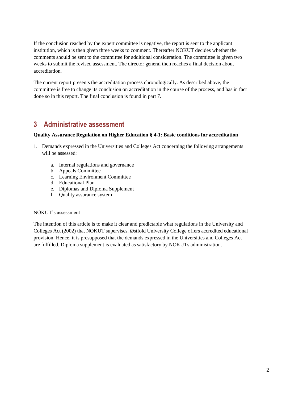If the conclusion reached by the expert committee is negative, the report is sent to the applicant institution, which is then given three weeks to comment. Thereafter NOKUT decides whether the comments should be sent to the committee for additional consideration. The committee is given two weeks to submit the revised assessment. The director general then reaches a final decision about accreditation.

The current report presents the accreditation process chronologically. As described above, the committee is free to change its conclusion on accreditation in the course of the process, and has in fact done so in this report. The final conclusion is found in part 7.

# <span id="page-5-0"></span>**3 Administrative assessment**

#### **Quality Assurance Regulation on Higher Education § 4-1: Basic conditions for accreditation**

- 1. Demands expressed in the Universities and Colleges Act concerning the following arrangements will be assessed:
	- a. Internal regulations and governance
	- b. Appeals Committee
	- c. Learning Environment Committee
	- d. Educational Plan
	- e. Diplomas and Diploma Supplement
	- f. Quality assurance system

#### NOKUT's assessment

The intention of this article is to make it clear and predictable what regulations in the University and Colleges Act (2002) that NOKUT supervises. Østfold University College offers accredited educational provision. Hence, it is presupposed that the demands expressed in the Universities and Colleges Act are fulfilled. Diploma supplement is evaluated as satisfactory by NOKUTs administration.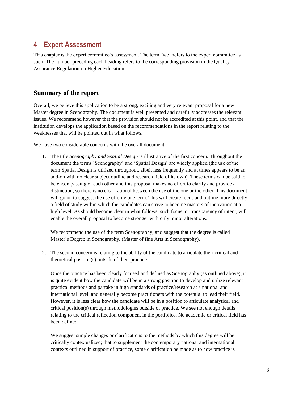# <span id="page-6-0"></span>**4 Expert Assessment**

This chapter is the expert committee's assessment. The term "we" refers to the expert committee as such. The number preceding each heading refers to the corresponding provision in the Quality Assurance Regulation on Higher Education.

# **Summary of the report**

Overall, we believe this application to be a strong, exciting and very relevant proposal for a new Master degree in Scenography. The document is well presented and carefully addresses the relevant issues. We recommend however that the provision should not be accredited at this point, and that the institution develops the application based on the recommendations in the report relating to the weaknesses that will be pointed out in what follows.

We have two considerable concerns with the overall document:

1. The title *Scenography and Spatial Design* is illustrative of the first concern. Throughout the document the terms 'Scenography' and 'Spatial Design' are widely applied (the use of the term Spatial Design is utilized throughout, albeit less frequently and at times appears to be an add-on with no clear subject outline and research field of its own). These terms can be said to be encompassing of each other and this proposal makes no effort to clarify and provide a distinction, so there is no clear rational between the use of the one or the other. This document will go on to suggest the use of only one term. This will create focus and outline more directly a field of study within which the candidates can strive to become masters of innovation at a high level. As should become clear in what follows, such focus, or transparency of intent, will enable the overall proposal to become stronger with only minor alterations.

We recommend the use of the term Scenography, and suggest that the degree is called Master's Degree in Scenography. (Master of fine Arts in Scenography).

2. The second concern is relating to the ability of the candidate to articulate their critical and theoretical position(s) outside of their practice.

Once the practice has been clearly focused and defined as Scenography (as outlined above), it is quite evident how the candidate will be in a strong position to develop and utilize relevant practical methods and partake in high standards of practice/research at a national and international level, and generally become practitioners with the potential to lead their field. However, it is less clear how the candidate will be in a position to articulate analytical and critical position(s) through methodologies outside of practice. We see not enough details relating to the critical reflection component in the portfolios. No academic or critical field has been defined.

We suggest simple changes or clarifications to the methods by which this degree will be critically contextualized; that to supplement the contemporary national and international contexts outlined in support of practice, some clarification be made as to how practice is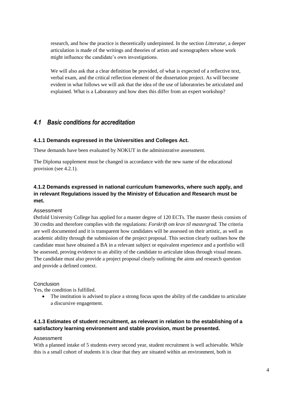research, and how the practice is theoretically underpinned. In the section *Litteratur*, a deeper articulation is made of the writings and theories of artists and scenographers whose work might influence the candidate's own investigations.

We will also ask that a clear definition be provided, of what is expected of a reflective text. verbal exam, and the critical reflection element of the dissertation project. As will become evident in what follows we will ask that the idea of the use of laboratories be articulated and explained. What is a Laboratory and how does this differ from an expert workshop?

# <span id="page-7-0"></span>*4.1 Basic conditions for accreditation*

#### **4.1.1 Demands expressed in the Universities and Colleges Act.**

These demands have been evaluated by NOKUT in the administrative assessment.

The Diploma supplement must be changed in accordance with the new name of the educational provision (see 4.2.1).

# **4.1.2 Demands expressed in national curriculum frameworks, where such apply, and in relevant Regulations issued by the Ministry of Education and Research must be met.**

#### Assessment

Østfold University College has applied for a master degree of 120 ECTs. The master thesis consists of 30 credits and therefore complies with the regulations: *Forskrift om krav til mastergrad.* The criteria are well documented and it is transparent how candidates will be assessed on their artistic, as well as academic ability through the submission of the project proposal. This section clearly outlines how the candidate must have obtained a BA in a relevant subject or equivalent experience and a portfolio will be assessed, proving evidence to an ability of the candidate to articulate ideas through visual means. The candidate must also provide a project proposal clearly outlining the aims and research question and provide a defined context.

#### Conclusion

Yes, the condition is fulfilled.

• The institution is advised to place a strong focus upon the ability of the candidate to articulate a discursive engagement.

### **4.1.3 Estimates of student recruitment, as relevant in relation to the establishing of a satisfactory learning environment and stable provision, must be presented.**

#### Assessment

With a planned intake of 5 students every second year, student recruitment is well achievable. While this is a small cohort of students it is clear that they are situated within an environment, both in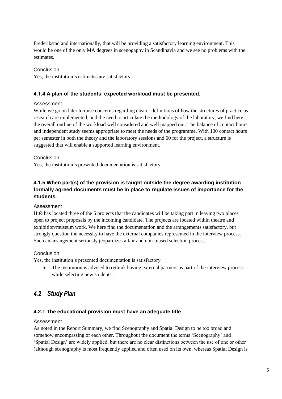Frederikstad and internationally, that will be providing a satisfactory learning environment. This would be one of the only MA degrees in scenogaphy in Scandinavia and we see no problems with the estimates.

#### Conclusion

Yes, the institution's estimates are satisfactory

### **4.1.4 A plan of the students' expected workload must be presented.**

#### Assessment

While we go on later to raise concerns regarding clearer definitions of how the structures of practice as research are implemented, and the need to articulate the methodology of the laboratory, we find here the overall outline of the workload well considered and well mapped out. The balance of contact hours and independent study seems appropriate to meet the needs of the programme. With 100 contact hours per semester in both the theory and the laboratory sessions and 60 for the project, a structure is suggested that will enable a supported learning environment.

#### Conclusion

Yes, the institution's presented documentation is satisfactory.

# **4.1.5 When part(s) of the provision is taught outside the degree awarding institution formally agreed documents must be in place to regulate issues of importance for the students.**

#### Assessment

HiØ has located three of the 5 projects that the candidates will be taking part in leaving two places open to project proposals by the incoming candidate. The projects are located within theatre and exhibition/museum work. We here find the documentation and the arrangements satisfactory, but strongly question the necessity to have the external companies represented in the interview process. Such an arrangement seriously jeopardizes a fair and non-biased selection process.

#### Conclusion

Yes, the institution's presented documentation is satisfactory.

• The institution is advised to rethink having external partners as part of the interview process while selecting new students.

# <span id="page-8-0"></span>*4.2 Study Plan*

#### **4.2.1 The educational provision must have an adequate title**

#### Assessment

As noted in the Report Summary, we find Scenography and Spatial Design to be too broad and somehow encompassing of each other. Throughout the document the terms 'Scenography' and 'Spatial Design' are widely applied, but there are no clear distinctions between the use of one or other (although scenography is most frequently applied and often used on its own, whereas Spatial Design is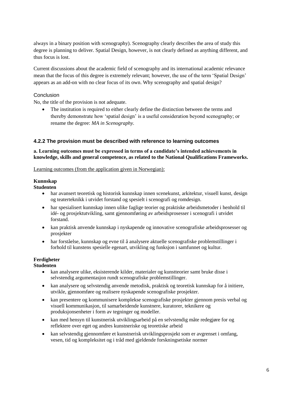always in a binary position with scenography). Scenography clearly describes the area of study this degree is planning to deliver. Spatial Design, however, is not clearly defined as anything different, and thus focus is lost.

Current discussions about the academic field of scenography and its international academic relevance mean that the focus of this degree is extremely relevant; however, the use of the term 'Spatial Design' appears as an add-on with no clear focus of its own. Why scenography and spatial design?

#### **Conclusion**

No, the title of the provision is not adequate.

 The institution is required to either clearly define the distinction between the terms and thereby demonstrate how 'spatial design' is a useful consideration beyond scenography; or rename the degree: *MA in Scenography.* 

#### **4.2.2 The provision must be described with reference to learning outcomes**

#### **a. Learning outcomes must be expressed in terms of a candidate's intended achievements in knowledge, skills and general competence, as related to the National Qualifications Frameworks.**

Learning outcomes (from the application given in Norwegian):

#### **Kunnskap**

#### **Studenten**

- har avansert teoretisk og historisk kunnskap innen scenekunst, arkitektur, visuell kunst, design og teaterteknikk i utvidet forstand og spesielt i scenografi og romdesign.
- har spesialisert kunnskap innen ulike faglige teorier og praktiske arbeidsmetoder i henhold til idé- og prosjektutvikling, samt gjennomføring av arbeidsprosesser i scenografi i utvidet forstand.
- kan praktisk anvende kunnskap i nyskapende og innovative scenografiske arbeidsprosesser og prosjekter
- har forståelse, kunnskap og evne til å analysere aktuelle scenografiske problemstillinger i forhold til kunstens spesielle egenart, utvikling og funksjon i samfunnet og kultur.

#### **Ferdigheter**

#### **Studenten**

- kan analysere ulike, eksisterende kilder, materialer og kunstteorier samt bruke disse i selvstendig argumentasjon rundt scenografiske problemstillinger.
- kan analysere og selvstendig anvende metodisk, praktisk og teoretisk kunnskap for å initiere, utvikle, gjennomføre og realisere nyskapende scenografiske prosjekter.
- kan presentere og kommunisere komplekse scenografiske prosjekter gjennom presis verbal og visuell kommunikasjon, til samarbeidende kunstnere, kuratorer, teknikere og produksjonsenheter i form av tegninger og modeller.
- kan med hensyn til kunstnerisk utviklingsarbeid på en selvstendig måte redegjøre for og reflektere over eget og andres kunstneriske og teoretiske arbeid
- kan selvstendig gjennomføre et kunstnerisk utviklingsprosjekt som er avgrenset i omfang, vesen, tid og kompleksitet og i tråd med gjeldende forskningsetiske normer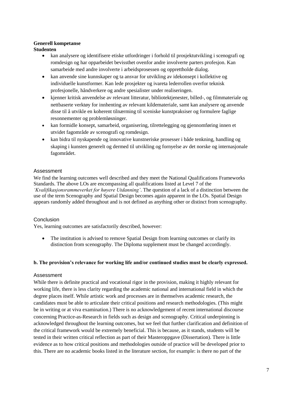# **Generell kompetanse**

#### **Studenten**

- kan analysere og identifisere etiske utfordringer i forhold til prosjektutvikling i scenografi og romdesign og har opparbeidet bevissthet ovenfor andre involverte parters profesjon. Kan samarbeide med andre involverte i arbeidsprosessen og opprettholde dialog.
- kan anvende sine kunnskaper og ta ansvar for utvikling av idekonsept i kollektive og individuelle kunstformer. Kan lede prosjekter og ivareta lederrollen overfor teknisk profesjonelle, håndverkere og andre spesialister under realiseringen.
- kjenner kritisk anvendelse av relevant litteratur, bibliotektjenester, billed-, og filmmateriale og nettbaserte verktøy for innhenting av relevant kildemateriale, samt kan analysere og anvende disse til å utvikle en koherent tilnærming til sceniske kunstpraksiser og formulere faglige resonnementer og problemløsninger.
- kan formidle konsept, samarbeid, organisering, tilrettelegging og gjennomføring innen et utvidet fagområde av scenografi og romdesign.
- kan bidra til nyskapende og innovative kunstneriske prosesser i både tenkning, handling og skaping i kunsten generelt og dermed til utvikling og fornyelse av det norske og internasjonale fagområdet.

### Assessment

We find the learning outcomes well described and they meet the National Qualifications Frameworks Standards. The above LOs are encompassing all qualifications listed at Level 7 of the *'Kvalifikasjonsrammeverket for høyere Utdanning'*. The question of a lack of a distinction between the use of the term Scenography and Spatial Design becomes again apparent in the LOs. Spatial Design appears randomly added throughout and is not defined as anything other or distinct from scenography.

### **Conclusion**

Yes, learning outcomes are satisfactorily described, however:

• The institution is advised to remove Spatial Design from learning outcomes or clarify its distinction from scenography. The Diploma supplement must be changed accordingly.

### **b. The provision's relevance for working life and/or continued studies must be clearly expressed.**

### Assessment

While there is definite practical and vocational rigor in the provision, making it highly relevant for working life, there is less clarity regarding the academic national and international field in which the degree places itself. While artistic work and processes are in themselves academic research, the candidates must be able to articulate their critical positions and research methodologies. (This might be in writing or at viva examination.) There is no acknowledgement of recent international discourse concerning Practice-as-Research in fields such as design and scenography. Critical underpinning is acknowledged throughout the learning outcomes, but we feel that further clarification and definition of the critical framework would be extremely beneficial. This is because, as it stands, students will be tested in their written critical reflection as part of their Masteroppgave (Dissertation). There is little evidence as to how critical positions and methodologies outside of practice will be developed prior to this. There are no academic books listed in the literature section, for example: is there no part of the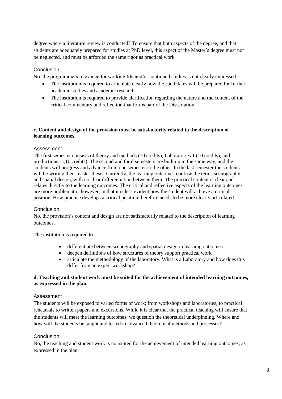degree where a literature review is conducted? To ensure that both aspects of the degree, and that students are adequately prepared for studies at PhD level, this aspect of the Master´s degree must not be neglected, and must be afforded the same rigor as practical work.

#### **Conclusion**

No, the programme's relevance for working life and/or continued studies is not clearly expressed:

- The institution is required to articulate clearly how the candidates will be prepared for further academic studies and academic research.
- The institution is required to provide clarification regarding the nature and the content of the critical commentary and reflection that forms part of the Dissertation.

#### **c. Content and design of the provision must be satisfactorily related to the description of learning outcomes.**

#### Assessment

The first semester consists of theory and methods (10 credits), Laboratories 1 (10 credits), and productions 1 (10 credits). The second and third semesters are built up in the same way, and the students will progress and advance from one semester to the other. In the last semester the students will be writing their master thesis. Currently, the learning outcomes confuse the terms scenography and spatial design, with no clear differentiation between them. The practical content is clear and relates directly to the learning outcomes. The critical and reflective aspects of the learning outcomes are more problematic, however, in that it is less evident how the student will achieve a critical position. How practice develops a critical position therefore needs to be more clearly articulated.

#### **Conclusion**

No, the provision's content and design are not satisfactorily related to the description of learning outcomes.

The institution is required to:

- differentiate between scenography and spatial design in learning outcomes.
- deepen definitions of how structures of theory support practical work.
- articulate the methodology of the laboratory. What is a Laboratory and how does this differ from an expert workshop?

#### **d. Teaching and student work must be suited for the achievement of intended learning outcomes, as expressed in the plan.**

#### Assessment

The students will be exposed to varied forms of work; from workshops and laboratories, to practical rehearsals to written papers and excursions. While it is clear that the practical teaching will ensure that the students will meet the learning outcomes, we question the theoretical underpinning. Where and how will the students be taught and tested in advanced theoretical methods and processes?

#### Conclusion

No, the teaching and student work is not suited for the achievement of intended learning outcomes, as expressed in the plan.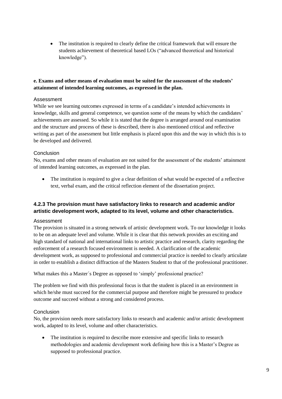The institution is required to clearly define the critical framework that will ensure the students achievement of theoretical based LOs ("advanced theoretical and historical knowledge").

#### **e. Exams and other means of evaluation must be suited for the assessment of the students' attainment of intended learning outcomes, as expressed in the plan.**

#### Assessment

While we see learning outcomes expressed in terms of a candidate's intended achievements in knowledge, skills and general competence, we question some of the means by which the candidates' achievements are assessed. So while it is stated that the degree is arranged around oral examination and the structure and process of these is described, there is also mentioned critical and reflective writing as part of the assessment but little emphasis is placed upon this and the way in which this is to be developed and delivered.

#### Conclusion

No, exams and other means of evaluation are not suited for the assessment of the students' attainment of intended learning outcomes, as expressed in the plan.

 The institution is required to give a clear definition of what would be expected of a reflective text, verbal exam, and the critical reflection element of the dissertation project.

### **4.2.3 The provision must have satisfactory links to research and academic and/or artistic development work, adapted to its level, volume and other characteristics.**

#### Assessment

The provision is situated in a strong network of artistic development work. To our knowledge it looks to be on an adequate level and volume. While it is clear that this network provides an exciting and high standard of national and international links to artistic practice and research, clarity regarding the enforcement of a research focused environment is needed. A clarification of the academic development work, as supposed to professional and commercial practice is needed to clearly articulate in order to establish a distinct diffraction of the Masters Student to that of the professional practitioner.

What makes this a Master´s Degree as opposed to 'simply' professional practice?

The problem we find with this professional focus is that the student is placed in an environment in which he/she must succeed for the commercial purpose and therefore might be pressured to produce outcome and succeed without a strong and considered process.

### Conclusion

No, the provision needs more satisfactory links to research and academic and/or artistic development work, adapted to its level, volume and other characteristics.

 The institution is required to describe more extensive and specific links to research methodologies and academic development work defining how this is a Master's Degree as supposed to professional practice.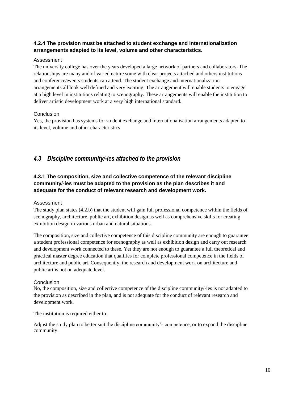# **4.2.4 The provision must be attached to student exchange and Internationalization arrangements adapted to its level, volume and other characteristics.**

#### Assessment

The university college has over the years developed a large network of partners and collaborators. The relationships are many and of varied nature some with clear projects attached and others institutions and conference/events students can attend. The student exchange and internationalization arrangements all look well defined and very exciting. The arrangement will enable students to engage at a high level in institutions relating to scenography. These arrangements will enable the institution to deliver artistic development work at a very high international standard.

#### Conclusion

Yes, the provision has systems for student exchange and internationalisation arrangements adapted to its level, volume and other characteristics.

# <span id="page-13-0"></span>*4.3 Discipline community/-ies attached to the provision*

# **4.3.1 The composition, size and collective competence of the relevant discipline community/-ies must be adapted to the provision as the plan describes it and adequate for the conduct of relevant research and development work.**

#### Assessment

The study plan states (4.2.b) that the student will gain full professional competence within the fields of scenography, architecture, public art, exhibition design as well as comprehensive skills for creating exhibition design in various urban and natural situations.

The composition, size and collective competence of this discipline community are enough to guarantee a student professional competence for scenography as well as exhibition design and carry out research and development work connected to these. Yet they are not enough to guarantee a full theoretical and practical master degree education that qualifies for complete professional competence in the fields of architecture and public art. Consequently, the research and development work on architecture and public art is not on adequate level.

#### Conclusion

No, the composition, size and collective competence of the discipline community/-ies is not adapted to the provision as described in the plan, and is not adequate for the conduct of relevant research and development work.

The institution is required either to:

Adjust the study plan to better suit the discipline community's competence, or to expand the discipline community.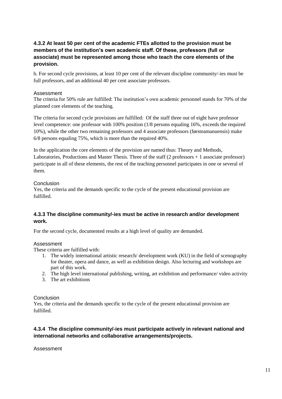# **4.3.2 At least 50 per cent of the academic FTEs allotted to the provision must be members of the institution's own academic staff. Of these, professors (full or associate) must be represented among those who teach the core elements of the provision.**

b. For second cycle provisions, at least 10 per cent of the relevant discipline community/-ies must be full professors, and an additional 40 per cent associate professors.

#### Assessment

The criteria for 50% rule are fulfilled: The institution's own academic personnel stands for 70% of the planned core elements of the teaching.

The criteria for second cycle provisions are fulfilled: Of the staff three out of eight have professor level competence: one professor with 100% position (1/8 persons equaling 16%, exceeds the required 10%), while the other two remaining professors and 4 associate professors (førsteamanuensis) make 6/8 persons equaling 75%, which is more than the required 40%.

In the application the core elements of the provision are named thus: Theory and Methods, Laboratories, Productions and Master Thesis. Three of the staff (2 professors + 1 associate professor) participate in all of these elements, the rest of the teaching personnel participates in one or several of them.

#### **Conclusion**

Yes, the criteria and the demands specific to the cycle of the present educational provision are fulfilled.

#### **4.3.3 The discipline community/-ies must be active in research and/or development work.**

For the second cycle, documented results at a high level of quality are demanded.

#### Assessment

These criteria are fulfilled with:

- 1. The widely international artistic research/ development work (KU) in the field of scenography for theater, opera and dance, as well as exhibition design. Also lecturing and workshops are part of this work.
- 2. The high level international publishing, writing, art exhibition and performance/ video activity
- 3. The art exhibitions

#### Conclusion

Yes, the criteria and the demands specific to the cycle of the present educational provision are fulfilled.

# **4.3.4 The discipline community/-ies must participate actively in relevant national and international networks and collaborative arrangements/projects.**

#### Assessment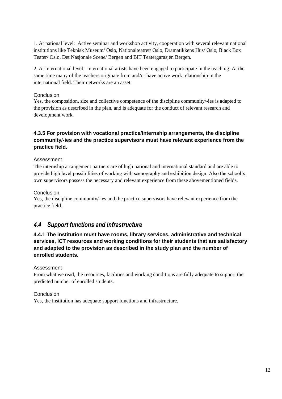1. At national level: Active seminar and workshop activity, cooperation with several relevant national institutions like Teknisk Museum/ Oslo, Nationalteatret/ Oslo, Dramatikkens Hus/ Oslo, Black Box Teater/ Oslo, Det Nasjonale Scene/ Bergen and BIT Teatergarasjen Bergen.

2. At international level: International artists have been engaged to participate in the teaching. At the same time many of the teachers originate from and/or have active work relationship in the international field. Their networks are an asset.

#### Conclusion

Yes, the composition, size and collective competence of the discipline community/-ies is adapted to the provision as described in the plan, and is adequate for the conduct of relevant research and development work.

# **4.3.5 For provision with vocational practice/internship arrangements, the discipline community/-ies and the practice supervisors must have relevant experience from the practice field.**

#### Assessment

The internship arrangement partners are of high national and international standard and are able to provide high level possibilities of working with scenography and exhibition design. Also the school's own supervisors possess the necessary and relevant experience from these abovementioned fields.

#### **Conclusion**

Yes, the discipline community/-ies and the practice supervisors have relevant experience from the practice field.

# <span id="page-15-0"></span>*4.4 Support functions and infrastructure*

# **4.4.1 The institution must have rooms, library services, administrative and technical services, ICT resources and working conditions for their students that are satisfactory and adapted to the provision as described in the study plan and the number of enrolled students.**

#### Assessment

From what we read, the resources, facilities and working conditions are fully adequate to support the predicted number of enrolled students.

#### Conclusion

Yes, the institution has adequate support functions and infrastructure.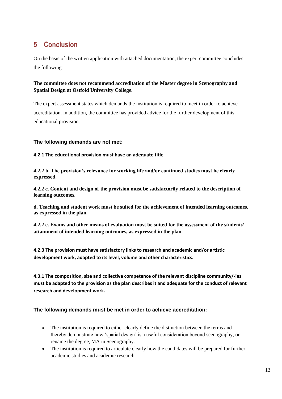# <span id="page-16-0"></span>**5 Conclusion**

On the basis of the written application with attached documentation, the expert committee concludes the following:

# **The committee does not recommend accreditation of the Master degree in Scenography and Spatial Design at Østfold University College.**

The expert assessment states which demands the institution is required to meet in order to achieve accreditation. In addition, the committee has provided advice for the further development of this educational provision.

#### **The following demands are not met:**

**4.2.1 The educational provision must have an adequate title**

**4.2.2 b. The provision's relevance for working life and/or continued studies must be clearly expressed.**

**4.2.2 c. Content and design of the provision must be satisfactorily related to the description of learning outcomes.**

**d. Teaching and student work must be suited for the achievement of intended learning outcomes, as expressed in the plan.** 

**4.2.2 e. Exams and other means of evaluation must be suited for the assessment of the students' attainment of intended learning outcomes, as expressed in the plan.**

**4.2.3 The provision must have satisfactory links to research and academic and/or artistic development work, adapted to its level, volume and other characteristics.**

**4.3.1 The composition, size and collective competence of the relevant discipline community/-ies must be adapted to the provision as the plan describes it and adequate for the conduct of relevant research and development work.**

### **The following demands must be met in order to achieve accreditation:**

- The institution is required to either clearly define the distinction between the terms and thereby demonstrate how 'spatial design' is a useful consideration beyond scenography; or rename the degree, MA in Scenography.
- The institution is required to articulate clearly how the candidates will be prepared for further academic studies and academic research.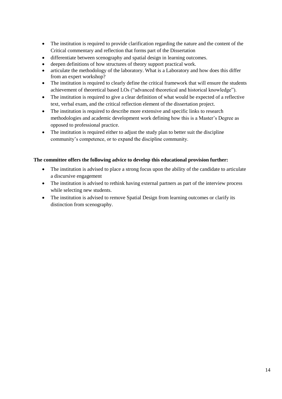- The institution is required to provide clarification regarding the nature and the content of the Critical commentary and reflection that forms part of the Dissertation
- differentiate between scenography and spatial design in learning outcomes.
- deepen definitions of how structures of theory support practical work.
- articulate the methodology of the laboratory. What is a Laboratory and how does this differ from an expert workshop?
- The institution is required to clearly define the critical framework that will ensure the students achievement of theoretical based LOs ("advanced theoretical and historical knowledge").
- The institution is required to give a clear definition of what would be expected of a reflective text, verbal exam, and the critical reflection element of the dissertation project.
- The institution is required to describe more extensive and specific links to research methodologies and academic development work defining how this is a Master's Degree as opposed to professional practice.
- The institution is required either to adjust the study plan to better suit the discipline community's competence, or to expand the discipline community.

#### **The committee offers the following advice to develop this educational provision further:**

- The institution is advised to place a strong focus upon the ability of the candidate to articulate a discursive engagement
- The institution is advised to rethink having external partners as part of the interview process while selecting new students.
- The institution is advised to remove Spatial Design from learning outcomes or clarify its distinction from scenography.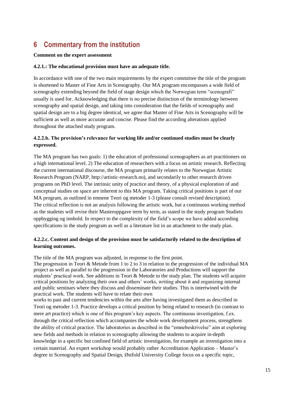# <span id="page-18-0"></span>**6 Commentary from the institution**

#### **Comment on the expert assessment**

#### **4.2.1.: The educational provision must have an adequate title.**

In accordance with one of the two main requirements by the expert committee the title of the program is shortened to Master of Fine Arts in Scenography. Our MA program encompasses a wide field of scenography extending beyond the field of stage design which the Norwegian term "scenografi" usually is used for. Acknowledging that there is no precise distinction of the terminology between scenography and spatial design, and taking into consideration that the fields of scenography and spatial design are to a big degree identical, we agree that Master of Fine Arts in Scenography will be sufficient as well as more accurate and concise. Please find the according alterations applied throughout the attached study program.

#### **4.2.2.b. The provision's relevance for working life and/or continued studies must be clearly expressed.**

The MA program has two goals: 1) the education of professional scenographers as art practitioners on a high international level. 2) The education of researchers with a focus on artistic research. Reflecting the current international discourse, the MA program primarily relates to the Norwegian Artistic Research Program (NARP, http://artistic-research.no), and secondarily to other research driven programs on PhD level. The intrinsic unity of practice and theory, of a physical exploration of and conceptual studies on space are inherent to this MA program. Taking critical positions is part of our MA program, as outlined in emnene Teori og metoder 1-3 (please consult revised description). The critical reflection is not an analysis following the artistic work, but a continuous working method as the students will revise their Masteroppgave term by term, as stated in the study program Studiets oppbygging og innhold. In respect to the complexity of the field's scope we have added according specifications in the study program as well as a literature list in an attachment to the study plan.

#### **4.2.2.c. Content and design of the provision must be satisfactorily related to the description of learning outcomes.**

The title of the MA program was adjusted, in response to the first point.

The progression in Teori & Metode from 1 to 2 to 3 in relation to the progression of the individual MA project as well as parallel to the progression in the Laboratories and Productions will support the students' practical work. See additions in Teori & Metode to the study plan. The students will acquire critical positions by analyzing their own and others' works, writing about it and organizing internal and public seminars where they discuss and disseminate their studies. This is intertwined with the practical work. The students will have to relate their own

works to past and current tendencies within the arts after having investigated them as described in Teori og metoder 1-3. Practice develops a critical position by being related to research (in contrast to mere art practice) which is one of this program's key aspects. The continuous investigation, f.ex. through the critical reflection which accompanies the whole work development process, strengthens the ability of critical practice. The laboratories as described in the "emnebeskrivelse" aim at exploring new fields and methods in relation to scenography allowing the students to acquire in-depth knowledge in a specific but confined field of artistic investigation, for example an investigation into a certain material. An expert workshop would probably rather Accreditation Application – Master's degree in Scenography and Spatial Design, Østfold University College focus on a specific topic,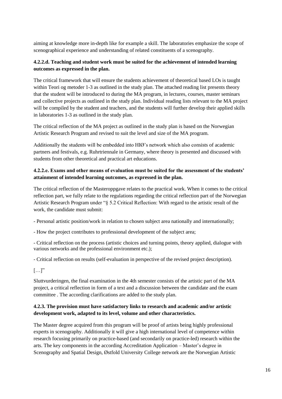aiming at knowledge more in-depth like for example a skill. The laboratories emphasize the scope of scenographical experience and understanding of related constituents of a scenography.

### **4.2.2.d. Teaching and student work must be suited for the achievement of intended learning outcomes as expressed in the plan.**

The critical framework that will ensure the students achievement of theoretical based LOs is taught within Teori og metoder 1-3 as outlined in the study plan. The attached reading list presents theory that the student will be introduced to during the MA program, in lectures, courses, master seminars and collective projects as outlined in the study plan. Individual reading lists relevant to the MA project will be compiled by the student and teachers, and the students will further develop their applied skills in laboratories 1-3 as outlined in the study plan.

The critical reflection of the MA project as outlined in the study plan is based on the Norwegian Artistic Research Program and revised to suit the level and size of the MA program.

Additionally the students will be embedded into HIØ's network which also consists of academic partners and festivals, e.g. Ruhrtriennale in Germany, where theory is presented and discussed with students from other theoretical and practical art educations.

### **4.2.2.e. Exams and other means of evaluation must be suited for the assessment of the students' attainment of intended learning outcomes, as expressed in the plan.**

The critical reflection of the Masteroppgave relates to the practical work. When it comes to the critical reflection part, we fully relate to the regulations regarding the critical reflection part of the Norwegian Artistic Research Program under "§ 5.2 Critical Reflection: With regard to the artistic result of the work, the candidate must submit:

- Personal artistic position/work in relation to chosen subject area nationally and internationally;

- How the project contributes to professional development of the subject area;

- Critical reflection on the process (artistic choices and turning points, theory applied, dialogue with various networks and the professional environment etc.);

- Critical reflection on results (self-evaluation in perspective of the revised project description).

 $[...]$ "

Sluttvurderingen, the final examination in the 4th semester consists of the artistic part of the MA project, a critical reflection in form of a text and a discussion between the candidate and the exam committee . The according clarifications are added to the study plan.

### **4.2.3. The provision must have satisfactory links to research and academic and/or artistic development work, adapted to its level, volume and other characteristics.**

The Master degree acquired from this program will be proof of artists being highly professional experts in scenography. Additionally it will give a high international level of competence within research focusing primarily on practice-based (and secondarily on practice-led) research within the arts. The key components in the according Accreditation Application – Master's degree in Scenography and Spatial Design, Østfold University College network are the Norwegian Artistic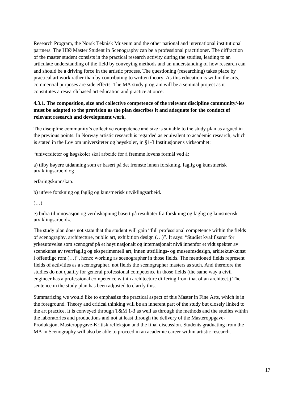Research Program, the Norsk Teknisk Museum and the other national and international institutional partners. The HIØ Master Student in Scenography can be a professional practitioner. The diffraction of the master student consists in the practical research activity during the studies, leading to an articulate understanding of the field by conveying methods and an understanding of how research can and should be a driving force in the artistic process. The questioning (researching) takes place by practical art work rather than by contributing to written theory. As this education is within the arts, commercial purposes are side effects. The MA study program will be a seminal project as it constitutes a research based art education and practice at once.

### **4.3.1. The composition, size and collective competence of the relevant discipline community/-ies must be adapted to the provision as the plan describes it and adequate for the conduct of relevant research and development work.**

The discipline community's collective competence and size is suitable to the study plan as argued in the previous points. In Norway artistic research is regarded as equivalent to academic research, which is stated in the Lov om universiteter og høyskoler, in §1-3 Institusjonens virksomhet:

"universiteter og høgskoler skal arbeide for å fremme lovens formål ved å:

a) tilby høyere utdanning som er basert på det fremste innen forskning, faglig og kunstnerisk utviklingsarbeid og

#### erfaringskunnskap.

b) utføre forskning og faglig og kunstnerisk utviklingsarbeid.

#### (…)

e) bidra til innovasjon og verdiskapning basert på resultater fra forskning og faglig og kunstnerisk utviklingsarbeid».

The study plan does not state that the student will gain "full professional competence within the fields of scenography, architecture, public art, exhibition design (…)". It says: "Studiet kvalifiserer for yrkesutøvelse som scenograf på et høyt nasjonalt og internasjonalt nivå innenfor et vidt spekter av scenekunst av tverrfaglig og eksperimentell art, innen utstillings- og museumsdesign, arkitektur/kunst i offentlige rom (…)", hence working as scenographer in those fields. The mentioned fields represent fields of activities as a scenographer, not fields the scenographer masters as such. And therefore the studies do not qualify for general professional competence in those fields (the same way a civil engineer has a professional competence within architecture differing from that of an architect.) The sentence in the study plan has been adjusted to clarify this.

Summarizing we would like to emphasize the practical aspect of this Master in Fine Arts, which is in the foreground. Theory and critical thinking will be an inherent part of the study but closely linked to the art practice. It is conveyed through T&M 1-3 as well as through the methods and the studies within the laboratories and productions and not at least through the delivery of the Masteroppgave-Produksjon, Masteroppgave-Kritisk refleksjon and the final discussion. Students graduating from the MA in Scenography will also be able to proceed in an academic career within artistic research.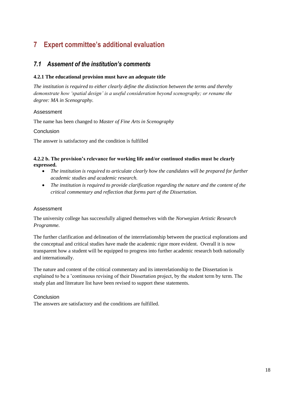# <span id="page-21-0"></span>**7 Expert committee's additional evaluation**

# <span id="page-21-1"></span>*7.1 Assement of the institution's comments*

#### **4.2.1 The educational provision must have an adequate title**

*The institution is required to either clearly define the distinction between the terms and thereby demonstrate how 'spatial design' is a useful consideration beyond scenography; or rename the degree: MA in Scenography.* 

#### Assessment

The name has been changed to *Master of Fine Arts in Scenography*

#### Conclusion

The answer is satisfactory and the condition is fulfilled

#### **4.2.2 b. The provision's relevance for working life and/or continued studies must be clearly expressed.**

- The institution is required to articulate clearly how the candidates will be prepared for further *academic studies and academic research.*
- *The institution is required to provide clarification regarding the nature and the content of the critical commentary and reflection that forms part of the Dissertation.*

#### Assessment

The university college has successfully aligned themselves with the *Norwegian Artistic Research Programme.*

The further clarification and delineation of the interrelationship between the practical explorations and the conceptual and critical studies have made the academic rigor more evident. Overall it is now transparent how a student will be equipped to progress into further academic research both nationally and internationally.

The nature and content of the critical commentary and its interrelationship to the Dissertation is explained to be a 'continuous revising of their Dissertation project, by the student term by term. The study plan and literature list have been revised to support these statements.

#### Conclusion

The answers are satisfactory and the conditions are fulfilled.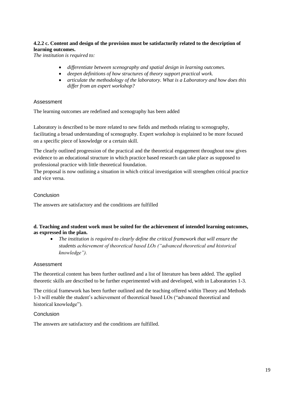### **4.2.2 c. Content and design of the provision must be satisfactorily related to the description of learning outcomes.**

*The institution is required to:*

- *differentiate between scenography and spatial design in learning outcomes.*
- *deepen definitions of how structures of theory support practical work.*
- *articulate the methodology of the laboratory. What is a Laboratory and how does this differ from an expert workshop?*

#### Assessment

The learning outcomes are redefined and scenography has been added

Laboratory is described to be more related to new fields and methods relating to scenography, facilitating a broad understanding of scenography. Expert workshop is explained to be more focused on a specific piece of knowledge or a certain skill.

The clearly outlined progression of the practical and the theoretical engagement throughout now gives evidence to an educational structure in which practice based research can take place as supposed to professional practice with little theoretical foundation.

The proposal is now outlining a situation in which critical investigation will strengthen critical practice and vice versa.

#### Conclusion

The answers are satisfactory and the conditions are fulfilled

#### **d. Teaching and student work must be suited for the achievement of intended learning outcomes, as expressed in the plan.**

 *The institution is required to clearly define the critical framework that will ensure the students achievement of theoretical based LOs ("advanced theoretical and historical knowledge").*

#### Assessment

The theoretical content has been further outlined and a list of literature has been added. The applied theoretic skills are described to be further experimented with and developed, with in Laboratories 1-3.

The critical framework has been further outlined and the teaching offered within Theory and Methods 1-3 will enable the student's achievement of theoretical based LOs ("advanced theoretical and historical knowledge").

#### Conclusion

The answers are satisfactory and the conditions are fulfilled.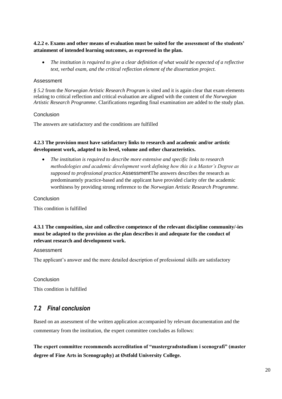#### **4.2.2 e. Exams and other means of evaluation must be suited for the assessment of the students' attainment of intended learning outcomes, as expressed in the plan.**

 *The institution is required to give a clear definition of what would be expected of a reflective text, verbal exam, and the critical reflection element of the dissertation project.*

#### Assessment

*§ 5.2* from the *Norwegian Artistic Research Program* is sited and it is again clear that exam elements relating to critical reflection and critical evaluation are aligned with the content of *the Norwegian Artistic Research Programme*. Clarifications regarding final examination are added to the study plan.

#### Conclusion

The answers are satisfactory and the conditions are fulfilled

#### **4.2.3 The provision must have satisfactory links to research and academic and/or artistic development work, adapted to its level, volume and other characteristics.**

 *The institution is required to describe more extensive and specific links to research methodologies and academic development work defining how this is a Master's Degree as supposed to professional practice.*AssessmentThe answers describes the research as predominantely practice-based and the applicant have provided clarity ofer the academic worthiness by providing strong reference to the *Norwegian Artistic Research Programme*.

#### Conclusion

This condition is fulfilled

# **4.3.1 The composition, size and collective competence of the relevant discipline community/-ies must be adapted to the provision as the plan describes it and adequate for the conduct of relevant research and development work.**

#### Assessment

The applicant's answer and the more detailed description of professional skills are satisfactory

#### Conclusion

This condition is fulfilled

# <span id="page-23-0"></span>*7.2 Final conclusion*

Based on an assessment of the written application accompanied by relevant documentation and the commentary from the institution, the expert committee concludes as follows:

**The expert committee recommends accreditation of "mastergradsstudium i scenografi" (master degree of Fine Arts in Scenography) at Østfold University College.**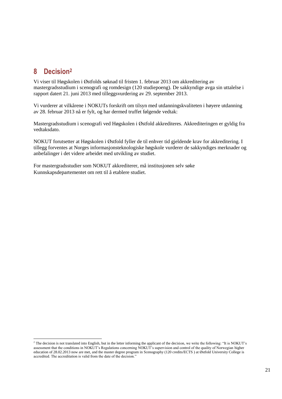# <span id="page-24-0"></span>**8 Decision<sup>2</sup>**

l

Vi viser til Høgskolen i Østfolds søknad til fristen 1. februar 2013 om akkreditering av mastergradsstudium i scenografi og romdesign (120 studiepoeng). De sakkyndige avga sin uttalelse i rapport datert 21. juni 2013 med tilleggsvurdering av 29. september 2013.

Vi vurderer at vilkårene i NOKUTs forskrift om tilsyn med utdanningskvaliteten i høyere utdanning av 28. februar 2013 nå er fylt, og har dermed truffet følgende vedtak:

Mastergradsstudium i scenografi ved Høgskolen i Østfold akkrediteres. Akkrediteringen er gyldig fra vedtaksdato.

NOKUT forutsetter at Høgskolen i Østfold fyller de til enhver tid gjeldende krav for akkreditering. I tillegg forventes at Norges informasjonsteknologiske høgskole vurderer de sakkyndiges merknader og anbefalinger i det videre arbeidet med utvikling av studiet.

For mastergradsstudier som NOKUT akkrediterer, må institusjonen selv søke Kunnskapsdepartementet om rett til å etablere studiet.

 $<sup>2</sup>$  The decision is not translated into English, but in the letter informing the applicant of the decision, we write the following: "It is NOKUT's</sup> assessment that the conditions in NOKUT's Regulations concerning NOKUT's supervision and control of the quality of Norwegian higher education of 28.02.2013 now are met, and the master degree program in Scenography (120 credits/ECTS ) at Østfold University College is accredited. The accreditation is valid from the date of the decision."